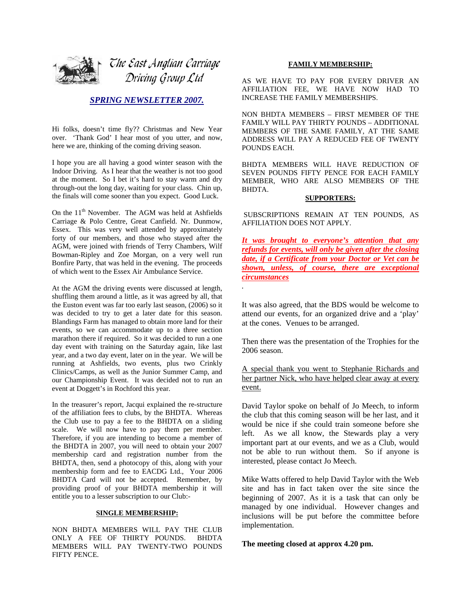

## *SPRING NEWSLETTER 2007.*

Hi folks, doesn't time fly?? Christmas and New Year over. 'Thank God' I hear most of you utter, and now, here we are, thinking of the coming driving season.

I hope you are all having a good winter season with the Indoor Driving. As I hear that the weather is not too good at the moment. So I bet it's hard to stay warm and dry through-out the long day, waiting for your class. Chin up, the finals will come sooner than you expect. Good Luck.

On the 11<sup>th</sup> November. The AGM was held at Ashfields Carriage & Polo Centre, Great Canfield. Nr. Dunmow, Essex. This was very well attended by approximately forty of our members, and those who stayed after the AGM, were joined with friends of Terry Chambers, Wilf Bowman-Ripley and Zoe Morgan, on a very well run Bonfire Party, that was held in the evening. The proceeds of which went to the Essex Air Ambulance Service.

At the AGM the driving events were discussed at length, shuffling them around a little, as it was agreed by all, that the Euston event was far too early last season, (2006) so it was decided to try to get a later date for this season. Blandings Farm has managed to obtain more land for their events, so we can accommodate up to a three section marathon there if required. So it was decided to run a one day event with training on the Saturday again, like last year, and a two day event, later on in the year. We will be running at Ashfields, two events, plus two Crinkly Clinics/Camps, as well as the Junior Summer Camp, and our Championship Event. It was decided not to run an event at Doggett's in Rochford this year.

In the treasurer's report, Jacqui explained the re-structure of the affiliation fees to clubs, by the BHDTA. Whereas the Club use to pay a fee to the BHDTA on a sliding scale. We will now have to pay them per member. Therefore, if you are intending to become a member of the BHDTA in 2007, you will need to obtain your 2007 membership card and registration number from the BHDTA, then, send a photocopy of this, along with your membership form and fee to EACDG Ltd., Your 2006 BHDTA Card will not be accepted. Remember, by providing proof of your BHDTA membership it will entitle you to a lesser subscription to our Club:-

### **SINGLE MEMBERSHIP:**

NON BHDTA MEMBERS WILL PAY THE CLUB ONLY A FEE OF THIRTY POUNDS. BHDTA MEMBERS WILL PAY TWENTY-TWO POUNDS FIFTY PENCE.

## **FAMILY MEMBERSHIP:**

AS WE HAVE TO PAY FOR EVERY DRIVER AN AFFILIATION FEE, WE HAVE NOW HAD TO INCREASE THE FAMILY MEMBERSHIPS.

NON BHDTA MEMBERS – FIRST MEMBER OF THE FAMILY WILL PAY THIRTY POUNDS – ADDITIONAL MEMBERS OF THE SAME FAMILY, AT THE SAME ADDRESS WILL PAY A REDUCED FEE OF TWENTY POUNDS EACH.

BHDTA MEMBERS WILL HAVE REDUCTION OF SEVEN POUNDS FIFTY PENCE FOR EACH FAMILY MEMBER, WHO ARE ALSO MEMBERS OF THE BHDTA.

#### **SUPPORTERS:**

 SUBSCRIPTIONS REMAIN AT TEN POUNDS, AS AFFILIATION DOES NOT APPLY.

*It was brought to everyone's attention that any refunds for events, will only be given after the closing date, if a Certificate from your Doctor or Vet can be shown, unless, of course, there are exceptional circumstances*

It was also agreed, that the BDS would be welcome to attend our events, for an organized drive and a 'play' at the cones. Venues to be arranged.

*.* 

Then there was the presentation of the Trophies for the 2006 season.

A special thank you went to Stephanie Richards and her partner Nick, who have helped clear away at every event.

David Taylor spoke on behalf of Jo Meech, to inform the club that this coming season will be her last, and it would be nice if she could train someone before she left. As we all know, the Stewards play a very important part at our events, and we as a Club, would not be able to run without them. So if anyone is interested, please contact Jo Meech.

Mike Watts offered to help David Taylor with the Web site and has in fact taken over the site since the beginning of 2007. As it is a task that can only be managed by one individual. However changes and inclusions will be put before the committee before implementation.

**The meeting closed at approx 4.20 pm.**